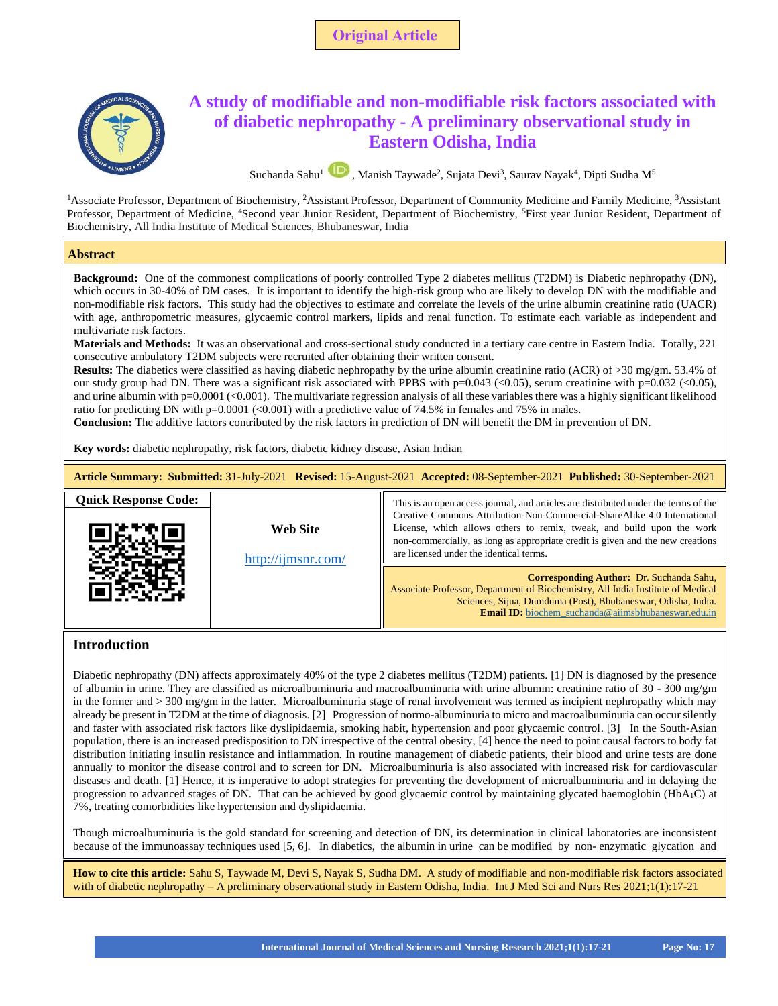



<sup>1</sup>Associate Professor, Department of Biochemistry, <sup>2</sup>Assistant Professor, Department of Community Medicine and Family Medicine, <sup>3</sup>Assistant Professor, Department of Medicine, <sup>4</sup>Second year Junior Resident, Department of Biochemistry, <sup>5</sup>First year Junior Resident, Department of Biochemistry, All India Institute of Medical Sciences, Bhubaneswar, India

### **Abstract**

which occurs in 30-40% of DM cases. It is important to identify the high-risk group who are likely to develop DN with the modifiable and non-modifiable risk factors. This study had the objectives to estimate and correlate the levels of the urine albumin creatinine ratio (UACR) with age, anthropometric measures, glycaemic control markers, lipids and renal function. To estimate each variable as independent and **Background:** One of the commonest complications of poorly controlled Type 2 diabetes mellitus (T2DM) is Diabetic nephropathy (DN), multivariate risk factors.

**Materials and Methods:** It was an observational and cross-sectional study conducted in a tertiary care centre in Eastern India. Totally, 221 consecutive ambulatory T2DM subjects were recruited after obtaining their written consent.

**Results:** The diabetics were classified as having diabetic nephropathy by the urine albumin creatinine ratio (ACR) of >30 mg/gm. 53.4% of our study group had DN. There was a significant risk associated with PPBS with p=0.043 (<0.05), serum creatinine with p=0.032 (<0.05), and urine albumin with  $p=0.0001$  (<0.001). The multivariate regression analysis of all these variables there was a highly significant likelihood ratio for predicting DN with  $p=0.0001$  (<0.001) with a predictive value of 74.5% in females and 75% in males.

**Conclusion:** The additive factors contributed by the risk factors in prediction of DN will benefit the DM in prevention of DN.

**Key words:** diabetic nephropathy, risk factors, diabetic kidney disease, Asian Indian

| Article Summary: Submitted: 31-July-2021 Revised: 15-August-2021 Accepted: 08-September-2021 Published: 30-September-2021 |                                       |                                                                                                                                                                                                                                                                                                                                                                       |  |  |  |
|---------------------------------------------------------------------------------------------------------------------------|---------------------------------------|-----------------------------------------------------------------------------------------------------------------------------------------------------------------------------------------------------------------------------------------------------------------------------------------------------------------------------------------------------------------------|--|--|--|
| <b>Quick Response Code:</b>                                                                                               | <b>Web Site</b><br>http://ijmsnr.com/ | This is an open access journal, and articles are distributed under the terms of the<br>Creative Commons Attribution-Non-Commercial-ShareAlike 4.0 International<br>License, which allows others to remix, tweak, and build upon the work<br>non-commercially, as long as appropriate credit is given and the new creations<br>are licensed under the identical terms. |  |  |  |
|                                                                                                                           |                                       | <b>Corresponding Author: Dr. Suchanda Sahu,</b><br>Associate Professor, Department of Biochemistry, All India Institute of Medical<br>Sciences, Sijua, Dumduma (Post), Bhubaneswar, Odisha, India.<br><b>Email ID:</b> biochem suchanda@aiimsbhubaneswar.edu.in                                                                                                       |  |  |  |

# **Introduction**

Diabetic nephropathy (DN) affects approximately 40% of the type 2 diabetes mellitus (T2DM) patients. [1] DN is diagnosed by the presence of albumin in urine. They are classified as microalbuminuria and macroalbuminuria with urine albumin: creatinine ratio of 30 - 300 mg/gm in the former and > 300 mg/gm in the latter. Microalbuminuria stage of renal involvement was termed as incipient nephropathy which may already be present in T2DM at the time of diagnosis. [2] Progression of normo-albuminuria to micro and macroalbuminuria can occur silently and faster with associated risk factors like dyslipidaemia, smoking habit, hypertension and poor glycaemic control. [3] In the South-Asian population, there is an increased predisposition to DN irrespective of the central obesity, [4] hence the need to point causal factors to body fat distribution initiating insulin resistance and inflammation. In routine management of diabetic patients, their blood and urine tests are done annually to monitor the disease control and to screen for DN. Microalbuminuria is also associated with increased risk for cardiovascular diseases and death. [1] Hence, it is imperative to adopt strategies for preventing the development of microalbuminuria and in delaying the progression to advanced stages of DN. That can be achieved by good glycaemic control by maintaining glycated haemoglobin (HbA1C) at 7%, treating comorbidities like hypertension and dyslipidaemia.

Though microalbuminuria is the gold standard for screening and detection of DN, its determination in clinical laboratories are inconsistent because of the immunoassay techniques used [5, 6]. In diabetics, the albumin in urine can be modified by non- enzymatic glycation and

**How to cite this article:** Sahu S, Taywade M, Devi S, Nayak S, Sudha DM. A study of modifiable and non-modifiable risk factors associated with of diabetic nephropathy – A preliminary observational study in Eastern Odisha, India. Int J Med Sci and Nurs Res 2021;1(1):17-21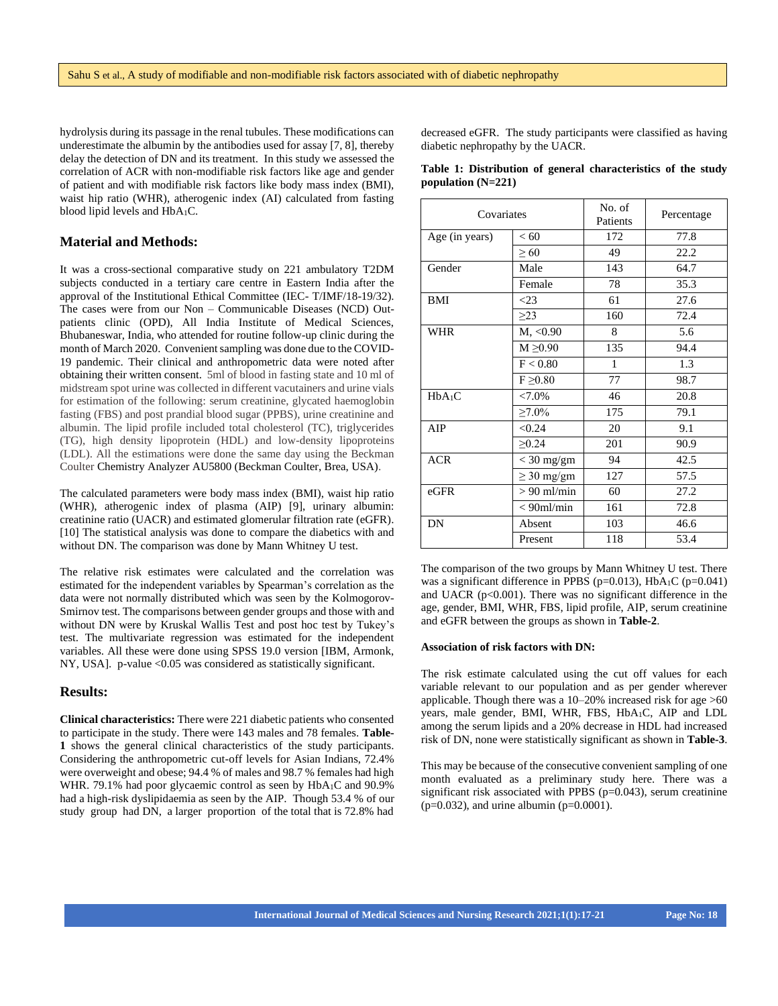hydrolysis during its passage in the renal tubules. These modifications can underestimate the albumin by the antibodies used for assay [7, 8], thereby delay the detection of DN and its treatment. In this study we assessed the correlation of ACR with non-modifiable risk factors like age and gender of patient and with modifiable risk factors like body mass index (BMI), waist hip ratio (WHR), atherogenic index (AI) calculated from fasting blood lipid levels and HbA1C.

#### **Material and Methods:**

It was a cross-sectional comparative study on 221 ambulatory T2DM subjects conducted in a tertiary care centre in Eastern India after the approval of the Institutional Ethical Committee (IEC- T/IMF/18-19/32). The cases were from our Non – Communicable Diseases (NCD) Outpatients clinic (OPD), All India Institute of Medical Sciences, Bhubaneswar, India, who attended for routine follow-up clinic during the month of March 2020. Convenient sampling was done due to the COVID-19 pandemic. Their clinical and anthropometric data were noted after obtaining their written consent. 5ml of blood in fasting state and 10 ml of midstream spot urine was collected in different vacutainers and urine vials for estimation of the following: serum creatinine, glycated haemoglobin fasting (FBS) and post prandial blood sugar (PPBS), urine creatinine and albumin. The lipid profile included total cholesterol (TC), triglycerides (TG), high density lipoprotein (HDL) and low-density lipoproteins (LDL). All the estimations were done the same day using the Beckman Coulter Chemistry Analyzer AU5800 (Beckman Coulter, Brea, USA).

The calculated parameters were body mass index (BMI), waist hip ratio (WHR), atherogenic index of plasma (AIP) [9], urinary albumin: creatinine ratio (UACR) and estimated glomerular filtration rate (eGFR). [10] The statistical analysis was done to compare the diabetics with and without DN. The comparison was done by Mann Whitney U test.

The relative risk estimates were calculated and the correlation was estimated for the independent variables by Spearman's correlation as the data were not normally distributed which was seen by the Kolmogorov-Smirnov test. The comparisons between gender groups and those with and without DN were by Kruskal Wallis Test and post hoc test by Tukey's test. The multivariate regression was estimated for the independent variables. All these were done using SPSS 19.0 version [IBM, Armonk, NY, USA]. p-value <0.05 was considered as statistically significant.

## **Results:**

**Clinical characteristics:** There were 221 diabetic patients who consented to participate in the study. There were 143 males and 78 females. **Table-1** shows the general clinical characteristics of the study participants. Considering the anthropometric cut-off levels for Asian Indians, 72.4% were overweight and obese; 94.4 % of males and 98.7 % females had high WHR. 79.1% had poor glycaemic control as seen by HbA<sub>1</sub>C and 90.9% had a high-risk dyslipidaemia as seen by the AIP. Though 53.4 % of our study group had DN, a larger proportion of the total that is 72.8% had

decreased eGFR. The study participants were classified as having diabetic nephropathy by the UACR.

|                      |  | Table 1: Distribution of general characteristics of the study |  |  |
|----------------------|--|---------------------------------------------------------------|--|--|
| population $(N=221)$ |  |                                                               |  |  |

| Covariates         |                    | No. of<br>Patients | Percentage |
|--------------------|--------------------|--------------------|------------|
| Age (in years)     | < 60               | 172                | 77.8       |
|                    | $\geq 60$          | 49                 | 22.2       |
| Gender             | Male               | 143                | 64.7       |
|                    | Female             | 78                 | 35.3       |
| <b>BMI</b>         | $<$ 23             | 61                 | 27.6       |
|                    | $\geq$ 23          | 160                | 72.4       |
| <b>WHR</b>         | $M_{\star}$ < 0.90 | 8                  | 5.6        |
|                    | $M \geq 0.90$      | 135                | 94.4       |
|                    | F < 0.80           | 1                  | 1.3        |
|                    | $F \geq 0.80$      | 77                 | 98.7       |
| HbA <sub>1</sub> C | $< 7.0\%$          | 46                 | 20.8       |
|                    | $\geq 7.0\%$       | 175                | 79.1       |
| AIP                | < 0.24             | 20                 | 9.1        |
|                    | $\geq 0.24$        | 201                | 90.9       |
| <b>ACR</b>         | $<$ 30 mg/gm       | 94                 | 42.5       |
|                    | $\geq$ 30 mg/gm    | 127                | 57.5       |
| $e$ GFR            | $> 90$ ml/min      | 60                 | 27.2       |
|                    | $< 90$ ml/min      | 161                | 72.8       |
| DN                 | Absent             | 103                | 46.6       |
|                    | Present            | 118                | 53.4       |

The comparison of the two groups by Mann Whitney U test. There was a significant difference in PPBS ( $p=0.013$ ), HbA<sub>1</sub>C ( $p=0.041$ ) and UACR ( $p<0.001$ ). There was no significant difference in the age, gender, BMI, WHR, FBS, lipid profile, AIP, serum creatinine and eGFR between the groups as shown in **Table-2**.

#### **Association of risk factors with DN:**

The risk estimate calculated using the cut off values for each variable relevant to our population and as per gender wherever applicable. Though there was a 10–20% increased risk for age >60 years, male gender, BMI, WHR, FBS, HbA1C, AIP and LDL among the serum lipids and a 20% decrease in HDL had increased risk of DN, none were statistically significant as shown in **Table-3**.

This may be because of the consecutive convenient sampling of one month evaluated as a preliminary study here. There was a significant risk associated with PPBS  $(p=0.043)$ , serum creatinine  $(p=0.032)$ , and urine albumin  $(p=0.0001)$ .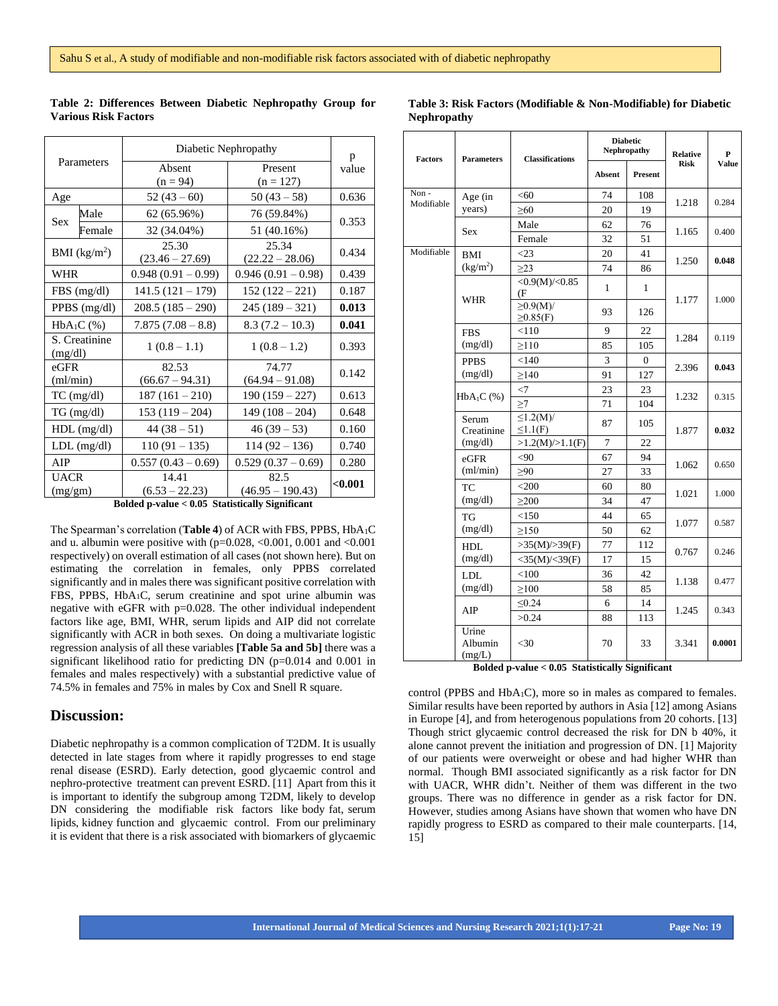| Parameters               |               | Diabetic Nephropathy                            | p                          |         |  |
|--------------------------|---------------|-------------------------------------------------|----------------------------|---------|--|
|                          |               | Absent<br>$(n = 94)$                            | Present<br>$(n = 127)$     | value   |  |
| Age                      |               | $52(43-60)$                                     | $50(43-58)$                | 0.636   |  |
| <b>Sex</b>               | Male          | 62 (65.96%)                                     | 76 (59.84%)                |         |  |
|                          | Female        | 32 (34.04%)                                     | 51 (40.16%)                | 0.353   |  |
|                          | BMI $(kg/m2)$ | 25.30                                           | 25.34                      | 0.434   |  |
|                          |               | $(23.46 - 27.69)$                               | $(22.22 - 28.06)$          |         |  |
| WHR                      |               | $0.948(0.91 - 0.99)$                            | $0.946(0.91 - 0.98)$       | 0.439   |  |
|                          | $FBS$ (mg/dl) | $141.5(121 - 179)$                              | $152(122-221)$             | 0.187   |  |
| PPBS $(mg/dl)$           |               | $208.5(185-290)$                                | $245(189-321)$             | 0.013   |  |
| $HbA_1C$ (%)             |               | $7.875(7.08-8.8)$                               | $8.3(7.2 - 10.3)$          | 0.041   |  |
| S. Creatinine<br>(mg/dl) |               | $1(0.8-1.1)$                                    | $1(0.8-1.2)$               | 0.393   |  |
| $e$ GFR<br>(ml/min)      |               | 82.53<br>$(66.67 - 94.31)$                      | 74.77<br>$(64.94 - 91.08)$ | 0.142   |  |
| $TC$ (mg/dl)             |               | $187(161-210)$                                  | $190(159 - 227)$           | 0.613   |  |
| TG (mg/dl)               |               | $153(119-204)$                                  | $149(108-204)$             | 0.648   |  |
| $HDL$ (mg/dl)            |               | $44(38-51)$<br>$46(39-53)$                      |                            | 0.160   |  |
| $LDL$ (mg/dl)            |               | $110(91 - 135)$                                 | $114(92 - 136)$            | 0.740   |  |
| AIP                      |               | $0.557(0.43-0.69)$                              | $0.529(0.37-0.69)$         | 0.280   |  |
| <b>UACR</b>              |               | 14.41                                           | 82.5                       | < 0.001 |  |
| (mg/gm)                  |               | $(6.53 - 22.23)$                                | $(46.95 - 190.43)$         |         |  |
|                          |               | Rolded n.volue < 0.05 Statistically Significant |                            |         |  |

**Table 2: Differences Between Diabetic Nephropathy Group for Various Risk Factors**

### **Table 3: Risk Factors (Modifiable & Non-Modifiable) for Diabetic Nephropathy**

**Diabetic** 

 **Absent Present**

**Nephropathy Relative** 

**Risk**

**P Value**

**Factors Parameters Classifications**

Non - Modifiable Age (in years)  $< 60$  74 108 1.218 0.284  $\geq 60$  20 19 Sex Male 62 76 1.165 0.400 Female 32 51 Modifiable BMI  $(kg/m<sup>2</sup>)$  $\lt 23$  20 41 1.250 **0.048**  $\geq$ 23 | 74 | 86 WHR  $\langle 0.9(M)/\langle 0.85 \rangle$  1 1  $\frac{\text{(F}}{\geq 0.9 \text{(M)}}$   $\frac{1}{93}$   $\frac{1}{126}$  1.177 1.000  $\geq 0.85$ (F) FBS (mg/dl)  $< 110$  9 22 1.284 0.119  $\geq$ 110 85 105 PPBS (mg/dl)  $\lt 140$  3 0 2.396 **0.043**  $\geq$ 140 91 127  $HbA_1C$  (%)  $\langle 7 | 23 | 23$ 1.232 0.315  $\geq$ 7 71 104 Serum **Creatinine** (mg/dl)  $≤1.2(M)$ /  $\leq$ 1.2(MJ) 87 | 105<br>≤1.1(F) 1.877 **0.032**  $>1.2(M)/>1.1(F)$  7 22 eGFR (ml/min)  $\langle 90 \rangle$  67 94 1.062 0.650  $≥90$  27 33  $TC$  $(mg/dl)$  $\leq 200$  60 80 1.021 1.000  $\geq 200$  34 47 TG (mg/dl)  $< 150$  44 65 1.077 0.587  $\geq 150$  50 62 HDL (mg/dl)  $>35(M)/>39(F)$  77 112 0.767 0.246  $<$ 35(M)/ $<$ 39(F) 17 15 LDL (mg/dl)  $< 100$  36 42 1.138 0.477  $\geq 100$  58 85 AIP  $≤0.24$  6 | 14 1.245 0.343 >0.24 88 113 Urine Albumin  $(m\sigma/L)$ <30 70 33 3.341 **0.0001**

**Bolded p-value < 0.05 Statistically Significant**

control (PPBS and HbA1C), more so in males as compared to females. Similar results have been reported by authors in Asia [12] among Asians in Europe [4], and from heterogenous populations from 20 cohorts. [13] Though strict glycaemic control decreased the risk for DN b 40%, it alone cannot prevent the initiation and progression of DN. [1] Majority of our patients were overweight or obese and had higher WHR than normal. Though BMI associated significantly as a risk factor for DN with UACR, WHR didn't. Neither of them was different in the two groups. There was no difference in gender as a risk factor for DN. However, studies among Asians have shown that women who have DN rapidly progress to ESRD as compared to their male counterparts. [14, 15]

**Bolded p-value < 0.05 Statistically Significant**

The Spearman's correlation (**Table 4**) of ACR with FBS, PPBS, HbA1C and u. albumin were positive with  $(p=0.028, \langle 0.001, 0.001 \rangle)$  and  $\langle 0.001 \rangle$ respectively) on overall estimation of all cases (not shown here). But on estimating the correlation in females, only PPBS correlated significantly and in males there was significant positive correlation with FBS, PPBS, HbA<sub>1</sub>C, serum creatinine and spot urine albumin was negative with eGFR with p=0.028. The other individual independent factors like age, BMI, WHR, serum lipids and AIP did not correlate significantly with ACR in both sexes. On doing a multivariate logistic regression analysis of all these variables **[Table 5a and 5b]** there was a significant likelihood ratio for predicting DN (p=0.014 and 0.001 in females and males respectively) with a substantial predictive value of 74.5% in females and 75% in males by Cox and Snell R square.

# **Discussion:**

Diabetic nephropathy is a common complication of T2DM. It is usually detected in late stages from where it rapidly progresses to end stage renal disease (ESRD). Early detection, good glycaemic control and nephro-protective treatment can prevent ESRD. [11] Apart from this it is important to identify the subgroup among T2DM, likely to develop DN considering the modifiable risk factors like body fat, serum lipids, kidney function and glycaemic control. From our preliminary it is evident that there is a risk associated with biomarkers of glycaemic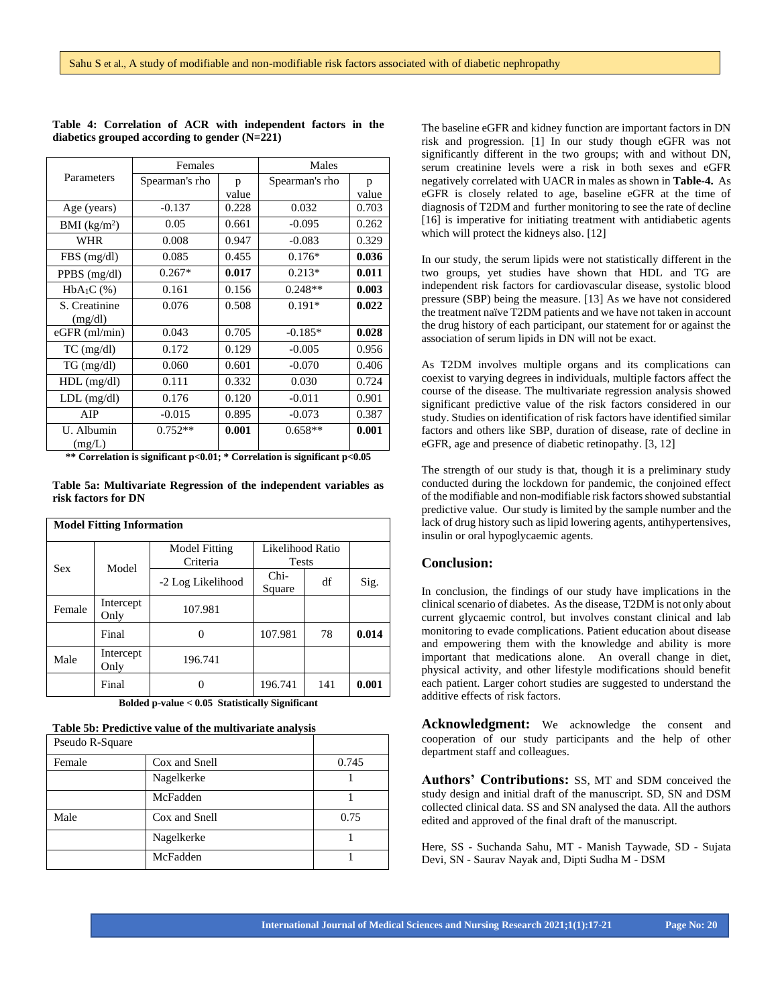|                          | Females        |       | Males          |       |
|--------------------------|----------------|-------|----------------|-------|
| Parameters               | Spearman's rho | p     | Spearman's rho | p     |
|                          |                | value |                | value |
| Age (years)              | $-0.137$       | 0.228 | 0.032          | 0.703 |
| BMI (kg/m <sup>2</sup> ) | 0.05           | 0.661 | $-0.095$       | 0.262 |
| WHR                      | 0.008          | 0.947 | $-0.083$       | 0.329 |
| $FBS$ (mg/dl)            | 0.085          | 0.455 | $0.176*$       | 0.036 |
| PPBS $(mg/dl)$           | $0.267*$       | 0.017 | $0.213*$       | 0.011 |
| $HbA_1C$ (%)             | 0.161          | 0.156 | $0.248**$      | 0.003 |
| S. Creatinine            | 0.076          | 0.508 | $0.191*$       | 0.022 |
| (mg/dl)                  |                |       |                |       |
| $eGFR$ (ml/min)          | 0.043          | 0.705 | $-0.185*$      | 0.028 |
| $TC$ (mg/dl)             | 0.172          | 0.129 | $-0.005$       | 0.956 |
| $TG \, (mg/dl)$          | 0.060          | 0.601 | $-0.070$       | 0.406 |
| $HDL$ (mg/dl)            | 0.111          | 0.332 | 0.030          | 0.724 |
| $LDL$ (mg/dl)            | 0.176          | 0.120 | $-0.011$       | 0.901 |
| AIP                      | $-0.015$       | 0.895 | $-0.073$       | 0.387 |
| U. Albumin<br>(mg/L)     | $0.752**$      | 0.001 | $0.658**$      | 0.001 |

**Table 4: Correlation of ACR with independent factors in the diabetics grouped according to gender (N=221)**

**\*\* Correlation is significant p<0.01; \* Correlation is significant p<0.05**

**Table 5a: Multivariate Regression of the independent variables as risk factors for DN**

| <b>Model Fitting Information</b> |                   |                                  |                                  |     |       |  |
|----------------------------------|-------------------|----------------------------------|----------------------------------|-----|-------|--|
| <b>Sex</b>                       | Model             | <b>Model Fitting</b><br>Criteria | Likelihood Ratio<br><b>Tests</b> |     |       |  |
|                                  |                   | -2 Log Likelihood                | $Chi-$<br>Square                 | df  | Sig.  |  |
| Female                           | Intercept<br>Only | 107.981                          |                                  |     |       |  |
|                                  | Final             |                                  | 107.981                          | 78  | 0.014 |  |
| Male                             | Intercept<br>Only | 196.741                          |                                  |     |       |  |
|                                  | Final             |                                  | 196.741                          | 141 | 0.001 |  |

**Bolded p-value < 0.05 Statistically Significant**

|  |  | Table 5b: Predictive value of the multivariate analysis |
|--|--|---------------------------------------------------------|
|--|--|---------------------------------------------------------|

| Pseudo R-Square |               |       |
|-----------------|---------------|-------|
| Female          | Cox and Snell | 0.745 |
|                 | Nagelkerke    |       |
|                 | McFadden      |       |
| Male            | Cox and Snell | 0.75  |
|                 | Nagelkerke    |       |
|                 | McFadden      |       |

The baseline eGFR and kidney function are important factors in DN risk and progression. [1] In our study though eGFR was not significantly different in the two groups; with and without DN, serum creatinine levels were a risk in both sexes and eGFR negatively correlated with UACR in males as shown in **Table-4.** As eGFR is closely related to age, baseline eGFR at the time of diagnosis of T2DM and further monitoring to see the rate of decline [16] is imperative for initiating treatment with antidiabetic agents which will protect the kidneys also. [12]

In our study, the serum lipids were not statistically different in the two groups, yet studies have shown that HDL and TG are independent risk factors for cardiovascular disease, systolic blood pressure (SBP) being the measure. [13] As we have not considered the treatment naïve T2DM patients and we have not taken in account the drug history of each participant, our statement for or against the association of serum lipids in DN will not be exact.

As T2DM involves multiple organs and its complications can coexist to varying degrees in individuals, multiple factors affect the course of the disease. The multivariate regression analysis showed significant predictive value of the risk factors considered in our study. Studies on identification of risk factors have identified similar factors and others like SBP, duration of disease, rate of decline in eGFR, age and presence of diabetic retinopathy. [3, 12]

The strength of our study is that, though it is a preliminary study conducted during the lockdown for pandemic, the conjoined effect of the modifiable and non-modifiable risk factors showed substantial predictive value. Our study is limited by the sample number and the lack of drug history such as lipid lowering agents, antihypertensives, insulin or oral hypoglycaemic agents.

### **Conclusion:**

In conclusion, the findings of our study have implications in the clinical scenario of diabetes. As the disease, T2DM is not only about current glycaemic control, but involves constant clinical and lab monitoring to evade complications. Patient education about disease and empowering them with the knowledge and ability is more important that medications alone. An overall change in diet, physical activity, and other lifestyle modifications should benefit each patient. Larger cohort studies are suggested to understand the additive effects of risk factors.

**Acknowledgment:** We acknowledge the consent and cooperation of our study participants and the help of other department staff and colleagues.

**Authors' Contributions:** SS, MT and SDM conceived the study design and initial draft of the manuscript. SD, SN and DSM collected clinical data. SS and SN analysed the data. All the authors edited and approved of the final draft of the manuscript.

Here, SS **-** Suchanda Sahu, MT - Manish Taywade, SD - Sujata Devi, SN - Saurav Nayak and, Dipti Sudha M - DSM